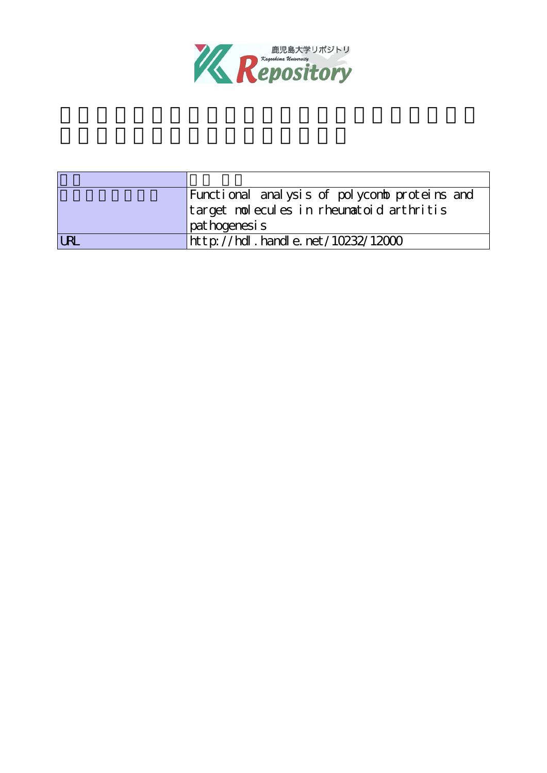

|            | Functional analysis of polycomb proteins and |  |  |
|------------|----------------------------------------------|--|--|
|            | target molecules in rheumatoid arthritis     |  |  |
|            | pat hogenesi s                               |  |  |
| <b>URI</b> | http://hdl.handle.net/10232/12000            |  |  |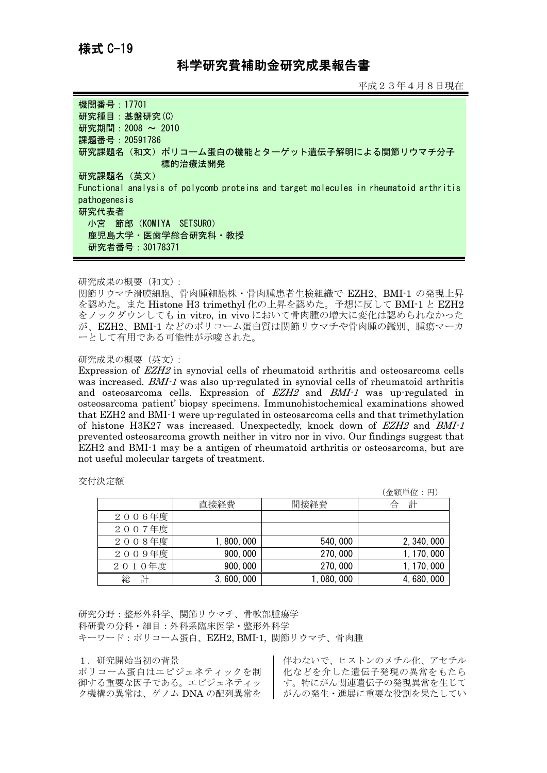## 科学研究費補助金研究成果報告書

平成23年4月8日現在

| 機関番号: 17701<br>研究種目: 基盤研究(C)<br>研究期間: 2008 ~ 2010<br>課題番号: 20591786<br>研究課題名(和文)ポリコーム蛋白の機能とターゲット遺伝子解明による関節リウマチ分子<br>標的治療法開発 |
|-----------------------------------------------------------------------------------------------------------------------------|
| 研究課題名(英文)                                                                                                                   |
| Functional analysis of polycomb proteins and target molecules in rheumatoid arthritis<br>pathogenesis                       |
| 研究代表者<br>小宮 節郎(KOMIYA SETSURO)                                                                                              |
| 鹿児島大学・医歯学総合研究科・教授                                                                                                           |
| 研究者番号: 30178371                                                                                                             |

## 研究成果の概要(和文):

関節リウマチ滑膜細胞、骨肉腫細胞株・骨肉腫患者生検組織で EZH2、BMI-1 の発現上昇 を認めた。また Histone H3 trimethyl 化の上昇を認めた。予想に反して BMI-1 と EZH2 をノックダウンしても in vitro, in vivo において骨肉腫の増大に変化は認められなかった が、EZH2、BMI-1 などのポリコーム蛋白質は関節リウマチや骨肉腫の鑑別、腫瘍マーカ ーとして有用である可能性が示唆された。

## 研究成果の概要(英文):

Expression of EZH2 in synovial cells of rheumatoid arthritis and osteosarcoma cells was increased. BMI-1 was also up-regulated in synovial cells of rheumatoid arthritis and osteosarcoma cells. Expression of EZH2 and BMI-1 was up-regulated in osteosarcoma patient' biopsy specimens. Immunohistochemical examinations showed that EZH2 and BMI-1 were up-regulated in osteosarcoma cells and that trimethylation of histone H3K27 was increased. Unexpectedly, knock down of EZH2 and BMI-1 prevented osteosarcoma growth neither in vitro nor in vivo. Our findings suggest that EZH2 and BMI-1 may be a antigen of rheumatoid arthritis or osteosarcoma, but are not useful molecular targets of treatment.

交付決定額

|        |             |          | (金額単位:円)    |
|--------|-------------|----------|-------------|
|        | 直接経費        | 間接経費     | 計<br>合      |
| 2006年度 |             |          |             |
| 2007年度 |             |          |             |
| 2008年度 | 1, 800, 000 | 540,000  | 2, 340, 000 |
| 2009年度 | 900,000     | 270,000  | 1, 170, 000 |
| 2010年度 | 900, 000    | 270,000  | 1, 170, 000 |
| 計<br>総 | 3,600,000   | ,080,000 | 4, 680, 000 |

研究分野:整形外科学、関節リウマチ、骨軟部腫瘍学 科研費の分科・細目:外科系臨床医学・整形外科学 キーワード:ポリコーム蛋白、EZH2, BMI-1, 関節リウマチ、骨肉腫

## 1.研究開始当初の背景

ポリコーム蛋白はエピジェネティックを制 御する重要な因子である。エピジェネティッ ク機構の異常は、ゲノム DNA の配列異常を

伴わないで、ヒストンのメチル化、アセチル 化などを介した遺伝子発現の異常をもたら す。特にがん関連遺伝子の発現異常を生じて ┃ がんの発生・進展に重要な役割を果たしてい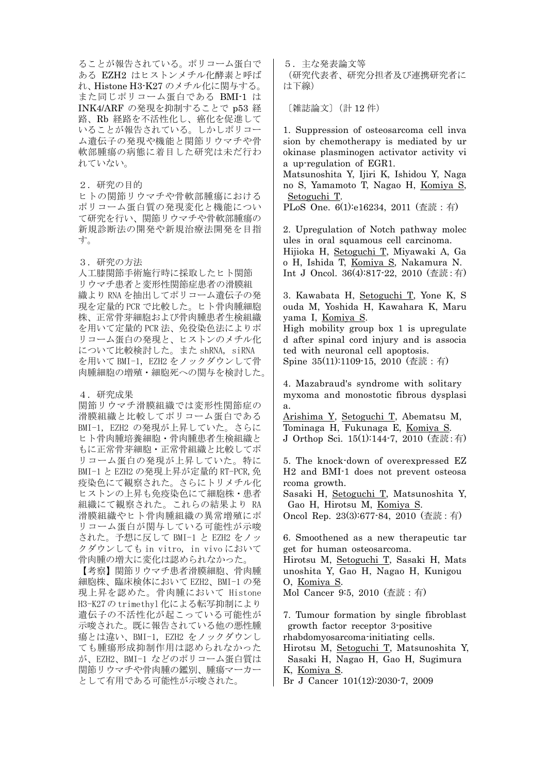ることが報告されている。ポリコーム蛋白で ある EZH2 はヒストンメチル化酵素と呼ば れ、Histone H3-K27 のメチル化に関与する。 また同じポリコーム蛋白である BMI-1 は INK4/ARF の発現を抑制することで p53 経 路、Rb 経路を不活性化し、癌化を促進して いることが報告されている。しかしポリコー ム遺伝子の発現や機能と関節リウマチや骨 軟部腫瘍の病態に着目した研究は未だ行わ れていない。

2.研究の目的 ヒトの関節リウマチや骨軟部腫瘍における ポリコーム蛋白質の発現変化と機能につい て研究を行い、関節リウマチや骨軟部腫瘍の 新規診断法の開発や新規治療法開発を目指 す。

3.研究の方法

人工膝関節手術施行時に採取したヒト関節 リウマチ患者と変形性関節症患者の滑膜組 織より RNA を抽出してポリコーム遺伝子の発 現を定量的 PCR で比較した。ヒト骨肉腫細胞 株、正常骨芽細胞および骨肉腫患者生検組織 を用いて定量的 PCR 法、免役染色法によりポ リコーム蛋白の発現と、ヒストンのメチル化 について比較検討した。また shRNA, siRNA を用いて BMI-1, EZH2 をノックダウンして骨 肉腫細胞の増殖・細胞死への関与を検討した。

4.研究成果

関節リウマチ滑膜組織では変形性関節症の 滑膜組織と比較してポリコーム蛋白である BMI-1, EZH2 の発現が上昇していた。さらに ヒト骨肉腫培養細胞・骨肉腫患者生検組織と もに正常骨芽細胞・正常骨組織と比較してポ リコーム蛋白の発現が上昇していた。特に BMI-1 と EZH2 の発現上昇が定量的 RT-PCR,免 疫染色にて観察された。さらにトリメチル化 ヒストンの上昇も免疫染色にて細胞株・患者 組織にて観察された。これらの結果より RA 滑膜組織やヒト骨肉腫組織の異常増殖にポ リコーム蛋白が関与している可能性が示唆 された。予想に反して BMI-1 と EZH2 をノッ クダウンしても in vitro, in vivo において 骨肉腫の増大に変化は認められなかった。

【考察】関節リウマチ患者滑膜細胞、骨肉腫 細胞株、臨床検体において EZH2、BMI-1 の発 現上昇を認めた。骨肉腫において Histone H3-K27の trimethyl 化による転写抑制により 遺伝子の不活性化が起こっている可能性が 示唆された。既に報告されている他の悪性腫 瘍とは違い、BMI-1, EZH2 をノックダウンし ても腫瘍形成抑制作用は認められなかった が、EZH2、BMI-1 などのポリコーム蛋白質は 関節リウマチや骨肉腫の鑑別、腫瘍マーカー として有用である可能性が示唆された。

5.主な発表論文等 (研究代表者、研究分担者及び連携研究者に は下線)

〔雑誌論文〕(計 12 件)

1. Suppression of osteosarcoma cell inva sion by chemotherapy is mediated by ur okinase plasminogen activator activity vi a up-regulation of EGR1.

Matsunoshita Y, Ijiri K, Ishidou Y, Naga no S, Yamamoto T, Nagao H, Komiya S, Setoguchi T.

PLoS One. 6(1):e16234, 2011 (査読:有)

2. Upregulation of Notch pathway molec ules in oral squamous cell carcinoma. Hijioka H, Setoguchi T, Miyawaki A, Ga o H, Ishida T, Komiya S, Nakamura N. Int J Oncol. 36(4):817-22, 2010 (査読:有)

3. Kawabata H, Setoguchi T, Yone K, S ouda M, Yoshida H, Kawahara K, Maru yama I, Komiya S.

High mobility group box 1 is upregulate d after spinal cord injury and is associa ted with neuronal cell apoptosis. Spine 35(11):1109-15, 2010 (査読:有)

4. Mazabraud's syndrome with solitary myxoma and monostotic fibrous dysplasi a.

Arishima Y, Setoguchi T, Abematsu M, Tominaga H, Fukunaga E, Komiya S. J Orthop Sci. 15(1):144-7, 2010 (査読:有)

5. The knock-down of overexpressed EZ H2 and BMI-1 does not prevent osteosa rcoma growth.

Sasaki H, Setoguchi T, Matsunoshita Y, Gao H, Hirotsu M, Komiya S.

Oncol Rep. 23(3):677-84, 2010 (査読:有)

6. Smoothened as a new therapeutic tar get for human osteosarcoma.

Hirotsu M, Setoguchi T, Sasaki H, Mats unoshita Y, Gao H, Nagao H, Kunigou O, Komiya S.

Mol Cancer 9:5, 2010 (査読:有)

7. Tumour formation by single fibroblast growth factor receptor 3-positive rhabdomyosarcoma-initiating cells.

Hirotsu M, Setoguchi T, Matsunoshita Y, Sasaki H, Nagao H, Gao H, Sugimura K, Komiya S.

Br J Cancer 101(12):2030-7, 2009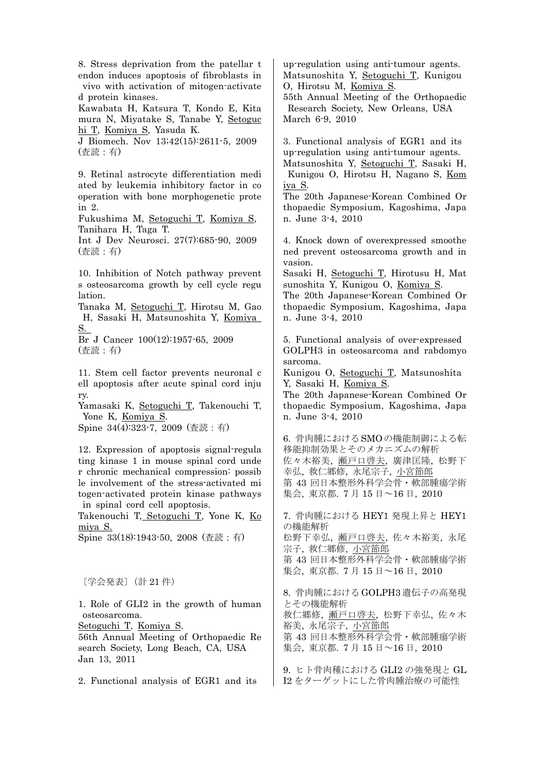8. Stress deprivation from the patellar t endon induces apoptosis of fibroblasts in vivo with activation of mitogen-activate d protein kinases. Kawabata H, Katsura T, Kondo E, Kita mura N, Miyatake S, Tanabe Y, Setoguc hi T, Komiya S, Yasuda K. J Biomech. Nov 13;42(15):2611-5, 2009 (査読:有) 9. Retinal astrocyte differentiation medi ated by leukemia inhibitory factor in co operation with bone morphogenetic prote in 2. Fukushima M, Setoguchi T, Komiya S, Tanihara H, Taga T. Int J Dev Neurosci. 27(7):685-90, 2009 (査読:有) 10. Inhibition of Notch pathway prevent s osteosarcoma growth by cell cycle regu lation. Tanaka M, Setoguchi T, Hirotsu M, Gao H, Sasaki H, Matsunoshita Y, Komiya S. Br J Cancer 100(12):1957-65, 2009 (査読:有) 11. Stem cell factor prevents neuronal c ell apoptosis after acute spinal cord inju ry. Yamasaki K, Setoguchi T, Takenouchi T, Yone K, Komiya S. Spine 34(4):323-7, 2009 (査読:有) 12. Expression of apoptosis signal-regula ting kinase 1 in mouse spinal cord unde r chronic mechanical compression: possib le involvement of the stress-activated mi togen-activated protein kinase pathways in spinal cord cell apoptosis. Takenouchi T, Setoguchi T, Yone K, Ko miya S. Spine 33(18):1943-50, 2008 (査読:有) 〔学会発表〕(計 21 件) 1. Role of GLI2 in the growth of human osteosarcoma. Setoguchi T, Komiya S. 56th Annual Meeting of Orthopaedic Re search Society, Long Beach, CA, USA Jan 13, 2011 2. Functional analysis of EGR1 and its up-regulation using anti-tumour agents. Matsunoshita Y, Setoguchi T, Kunigou O, Hirotsu M, Komiya S. 55th Annual Meeting of the Orthopaedic Research Society, New Orleans, USA March 6-9, 2010 3. Functional analysis of EGR1 and its up-regulation using anti-tumour agents. Matsunoshita Y, Setoguchi T, Sasaki H, Kunigou O, Hirotsu H, Nagano S, Kom iya S. The 20th Japanese-Korean Combined Or thopaedic Symposium, Kagoshima, Japa n. June 3-4, 2010 4. Knock down of overexpressed smoothe ned prevent osteosarcoma growth and in vasion. Sasaki H, Setoguchi T, Hirotusu H, Mat sunoshita Y, Kunigou O, Komiya S. The 20th Japanese-Korean Combined Or thopaedic Symposium, Kagoshima, Japa n. June 3-4, 2010 5. Functional analysis of over-expressed GOLPH3 in osteosarcoma and rabdomyo sarcoma. Kunigou O, Setoguchi T, Matsunoshita Y, Sasaki H, Komiya S. The 20th Japanese-Korean Combined Or thopaedic Symposium, Kagoshima, Japa n. June 3-4, 2010 6. 骨肉腫におけるSMOの機能制御による転 移能抑制効果とそのメカニズムの解析 佐々木裕美, 瀬戸口啓夫, 廣津匡隆, 松野下 幸弘, 救仁郷修, 永尾宗子, 小宮節郎 第 43 回日本整形外科学会骨・軟部腫瘍学術 集会, 東京都. 7 月 15 日~16 日, 2010 7. 骨肉腫における HEY1 発現上昇と HEY1 の機能解析 松野下幸弘, 瀬戸口啓夫, 佐々木裕美, 永尾 宗子, 救仁郷修, 小宮節郎 第 43 回日本整形外科学会骨・軟部腫瘍学術 集会, 東京都. 7 月 15 日~16 日, 2010 8. 骨肉腫における GOLPH3 遺伝子の高発現 とその機能解析 救仁郷修, 瀬戸口啓夫, 松野下幸弘, 佐々木 裕美, 永尾宗子, 小宮節郎 第 43 回日本整形外科学会骨・軟部腫瘍学術 集会, 東京都. 7 月 15 日~16 日, 2010 9. ヒト骨肉種における GLI2 の強発現と GL I2 をターゲットにした骨肉腫治療の可能性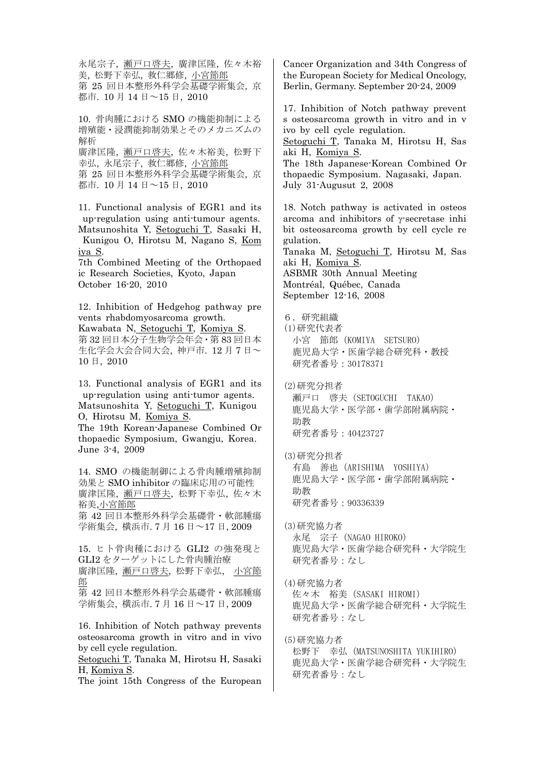永尾宗子, 瀬戸口啓夫, 廣津匡隆, 佐々木裕 美, 松野下幸弘, 救仁郷修, 小宮節郎 第 25 回日本整形外科学会基礎学術集会, 京 都市. 10 月 14 日~15 日, 2010 10. 骨肉腫における SMO の機能抑制による 増殖能・浸潤能抑制効果とそのメカニズムの 解析 廣津匡隆, 瀬戸口啓夫, 佐々木裕美, 松野下 幸弘, 永尾宗子, 救仁郷修, 小宮節郎 第 25 回日本整形外科学会基礎学術集会, 京 都市. 10 月 14 日~15 日, 2010 11. Functional analysis of EGR1 and its up-regulation using anti-tumour agents. Matsunoshita Y, Setoguchi T, Sasaki H, Kunigou O, Hirotsu M, Nagano S, Kom iya S. 7th Combined Meeting of the Orthopaed ic Research Societies, Kyoto, Japan October 16-20, 2010 12. Inhibition of Hedgehog pathway pre vents rhabdomyosarcoma growth. Kawabata N, Setoguchi T, Komiya S. 第 32 回日本分子生物学会年会・第 83 回日本 生化学会大会合同大会, 神戸市. 12 月 7 日~ 10 日, 2010 13. Functional analysis of EGR1 and its up-regulation using anti-tumor agents. Matsunoshita Y, Setoguchi T, Kunigou O, Hirotsu M, Komiya S. The 19th Korean-Japanese Combined Or thopaedic Symposium, Gwangju, Korea. June 3-4, 2009 14. SMO の機能制御による骨肉腫増殖抑制 効果と SMO inhibitor の臨床応用の可能性 廣津匡隆, 瀬戸口啓夫, 松野下幸弘, 佐々木 裕美,小宮節郎 第 42 回日本整形外科学会基礎骨・軟部腫瘍 学術集会, 横浜市. 7 月 16 日~17 日, 2009 15. ヒト骨肉種における GLI2 の強発現と GLI2 をターゲットにした骨肉腫治療 廣津匡隆, 瀬戸口啓夫, 松野下幸弘, 小宮節 郎 第 42 回日本整形外科学会基礎骨・軟部腫瘍 学術集会, 横浜市. 7 月 16 日~17 日, 2009 16. Inhibition of Notch pathway prevents osteosarcoma growth in vitro and in vivo by cell cycle regulation. Setoguchi T, Tanaka M, Hirotsu H, Sasaki H, Komiya S. The joint 15th Congress of the European

Cancer Organization and 34th Congress of the European Society for Medical Oncology, Berlin, Germany. September 20-24, 2009

17. Inhibition of Notch pathway prevent s osteosarcoma growth in vitro and in v ivo by cell cycle regulation.

Setoguchi T, Tanaka M, Hirotsu H, Sas aki H, Komiya S.

The 18th Japanese-Korean Combined Or thopaedic Symposium. Nagasaki, Japan. July 31-Augusut 2, 2008

18. Notch pathway is activated in osteos arcoma and inhibitors of  $\gamma$ -secretase inhi bit osteosarcoma growth by cell cycle re gulation. Tanaka M, Setoguchi T, Hirotsu M, Sas

aki H, Komiya S. ASBMR 30th Annual Meeting Montréal, Québec, Canada September 12-16, 2008

6.研究組織 (1)研究代表者 小宮 節郎(KOMIYA SETSURO) 鹿児島大学・医歯学総合研究科・教授 研究者番号:30178371

(2)研究分担者 瀬戸口 啓夫(SETOGUCHI TAKAO) 鹿児島大学・医学部・歯学部附属病院・ 助教 研究者番号:40423727

(3)研究分担者 有島 善也(ARISHIMA YOSHIYA) 鹿児島大学・医学部・歯学部附属病院・ 助教 研究者番号:90336339

(3)研究協力者 永尾 宗子(NAGAO HIROKO) 鹿児島大学・医歯学総合研究科・大学院生 研究者番号:なし

(4)研究協力者 佐々木 裕美(SASAKI HIROMI) 鹿児島大学・医歯学総合研究科・大学院生 研究者番号:なし

(5)研究協力者 松野下 幸弘(MATSUNOSHITA YUKIHIRO) 鹿児島大学・医歯学総合研究科・大学院生 研究者番号:なし